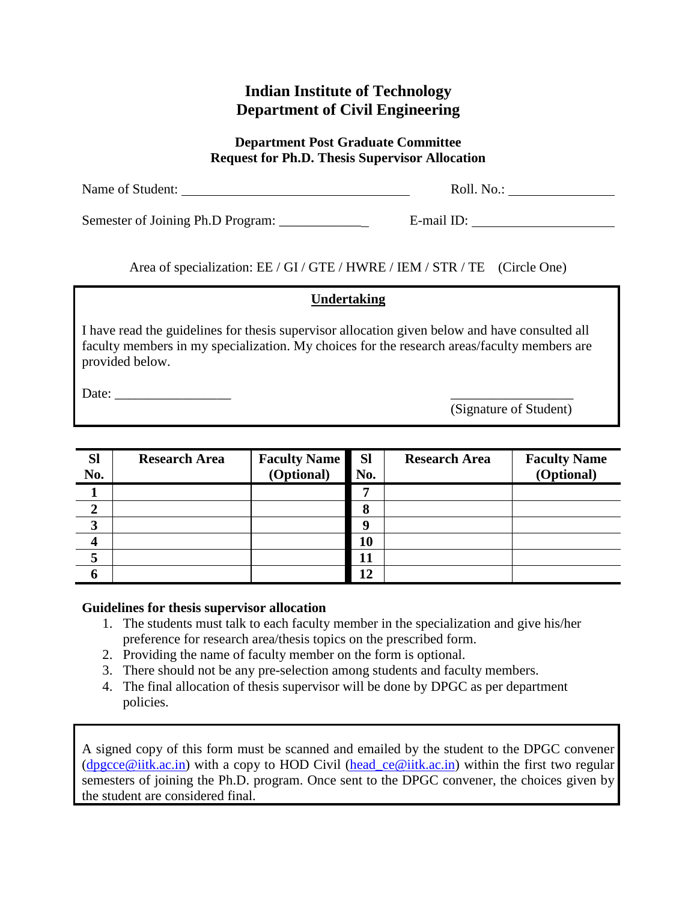## **Indian Institute of Technology Department of Civil Engineering**

#### **Department Post Graduate Committee Request for Ph.D. Thesis Supervisor Allocation**

| Name of Student:                  | Roll. No.: |
|-----------------------------------|------------|
| Semester of Joining Ph.D Program: | E-mail ID: |

Area of specialization: EE / GI / GTE / HWRE / IEM / STR / TE (Circle One)

## **Undertaking**

I have read the guidelines for thesis supervisor allocation given below and have consulted all faculty members in my specialization. My choices for the research areas/faculty members are provided below.

Date: \_\_\_\_\_\_\_\_\_\_\_\_\_\_\_\_\_ \_\_\_\_\_\_\_\_\_\_\_\_\_\_\_\_\_\_

(Signature of Student)

| <b>Sl</b><br>No. | <b>Research Area</b> | <b>Faculty Name</b><br>(Optional) | <b>Sl</b><br>No. | <b>Research Area</b> | <b>Faculty Name</b><br>(Optional) |
|------------------|----------------------|-----------------------------------|------------------|----------------------|-----------------------------------|
|                  |                      |                                   |                  |                      |                                   |
|                  |                      |                                   | 8                |                      |                                   |
| 3                |                      |                                   | Q                |                      |                                   |
|                  |                      |                                   | 10               |                      |                                   |
|                  |                      |                                   | 11               |                      |                                   |
|                  |                      |                                   | 12               |                      |                                   |

### **Guidelines for thesis supervisor allocation**

- 1. The students must talk to each faculty member in the specialization and give his/her preference for research area/thesis topics on the prescribed form.
- 2. Providing the name of faculty member on the form is optional.
- 3. There should not be any pre-selection among students and faculty members.
- 4. The final allocation of thesis supervisor will be done by DPGC as per department policies.

A signed copy of this form must be scanned and emailed by the student to the DPGC convener [\(dpgcce@iitk.ac.in\)](mailto:dpgcce@iitk.ac.in) with a copy to HOD Civil [\(head\\_ce@iitk.ac.in\)](mailto:head_ce@iitk.ac.in) within the first two regular semesters of joining the Ph.D. program. Once sent to the DPGC convener, the choices given by the student are considered final.